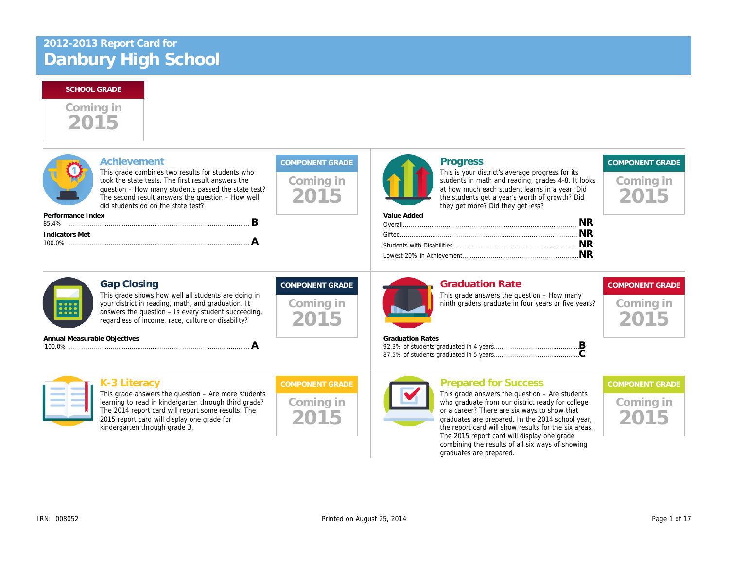2015 Coming in

| Achievement<br>This grade combines two results for students who<br>took the state tests. The first result answers the<br>question - How many students passed the state test?<br>The second result answers the question - How well<br>did students do on the state test?<br>Performance Index<br>В<br><b>Indicators Met</b><br>A | Coming in<br>2015                           | <b>Progress</b><br>This is your district's average progress f<br>students in math and reading, grades 4-<br>at how much each student learns in a ye<br>the students get a year's worth of growtl<br>they get more? Did they get less?<br>Value Added |
|---------------------------------------------------------------------------------------------------------------------------------------------------------------------------------------------------------------------------------------------------------------------------------------------------------------------------------|---------------------------------------------|------------------------------------------------------------------------------------------------------------------------------------------------------------------------------------------------------------------------------------------------------|
| <b>Gap Closing</b><br>This grade shows how well all students are doing in<br>your district in reading, math, and graduation. It<br>answers the question - Is every student succeeding,<br>regardless of income, race, culture or disability?<br>Annual Measurable Objectives                                                    | <b>COMPONENT GRADE</b><br>Coming in<br>2015 | <b>Graduation Rate</b><br>This grade answers the question $-$ How<br>ninth graders graduate in four years or f<br><b>Graduation Rates</b>                                                                                                            |
| A                                                                                                                                                                                                                                                                                                                               |                                             |                                                                                                                                                                                                                                                      |
| $\mathbf{V}$ 2 Horoov                                                                                                                                                                                                                                                                                                           | COMPONIES ET OR ARE                         | <b>Drapared for Quegocc</b>                                                                                                                                                                                                                          |

K-3 Literacy This grade answers the question – Are more students learning to read in kindergarten through third grade? The 2014 report card will report some results. The 2015 report card will display one grade for

kindergarten through grade 3.

Coming in 2015

# Prepared for Success

This grade answers the question  $-$  Are  $s$ who graduate from our district ready for or a career? There are six ways to show graduates are prepared. In the 2014 sch the report card will show results for the s The 2015 report card will display one gr combining the results of all six ways of s graduates are prepared.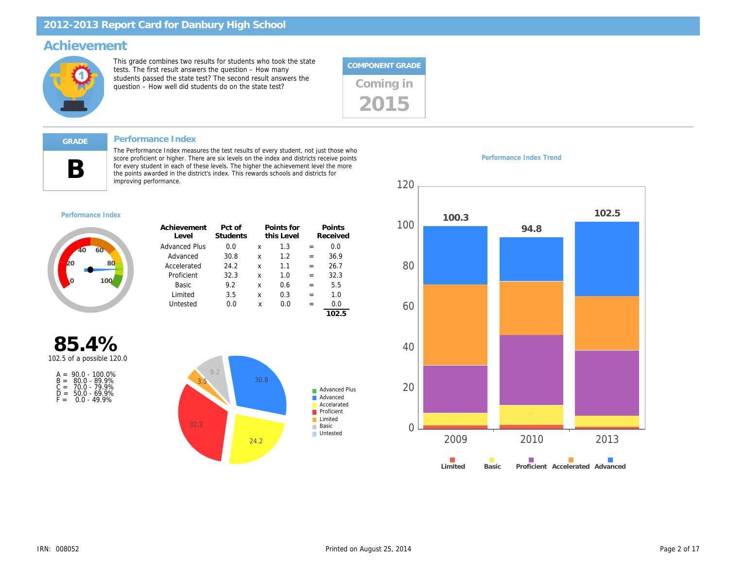### Achievement

This grade combines two results for students who took the state tests. The first result answers the question – How many students passed the state test? The second result answers the students passed the state test? The second result answers the<br>question – How well did students do on the state test? Coming in



#### Performance Index

B

The Performance Index measures the test results of every student, not just those who score proficient or higher. There are six levels on the index and districts receive points for every student in each of these levels. The higher the achievement level the more the points awarded in the district's index. This rewards schools and districts for improving performance.

Performance Index Trend

#### Performance Index

| Achievement<br>Level | Pct of<br>Students |   | Points for<br>this Level |     | Points<br>Received |
|----------------------|--------------------|---|--------------------------|-----|--------------------|
| <b>Advanced Plus</b> | 0.0                | x | 1.3                      | =   | 0.0                |
| Advanced             | 30.8               | x | 1.2                      | =   | 36.9               |
| Accelerated          | 24.2               | x | 1.1                      | =   | 26.7               |
| Proficient           | 32.3               | x | 1.0                      | =   | 32.3               |
| Basic                | 9.2                | x | 0.6                      | =   | 5.5                |
| Limited              | 3.5                | x | 0.3                      | $=$ | 1.0                |
| Untested             | 0.0                | x | 0.0                      | =   | 0.0                |
|                      |                    |   |                          |     | 102.5              |

85.4% 102.5 of a possible 120.0

|       | $A = 90.0 - 100.0\%$ |
|-------|----------------------|
| $B =$ | $80.0 - 89.9%$       |
| $C =$ | 70.0 - 79.9%         |
| D=    | $50.0 - 69.9%$       |
| F =   | $0.0 - 49.9%$        |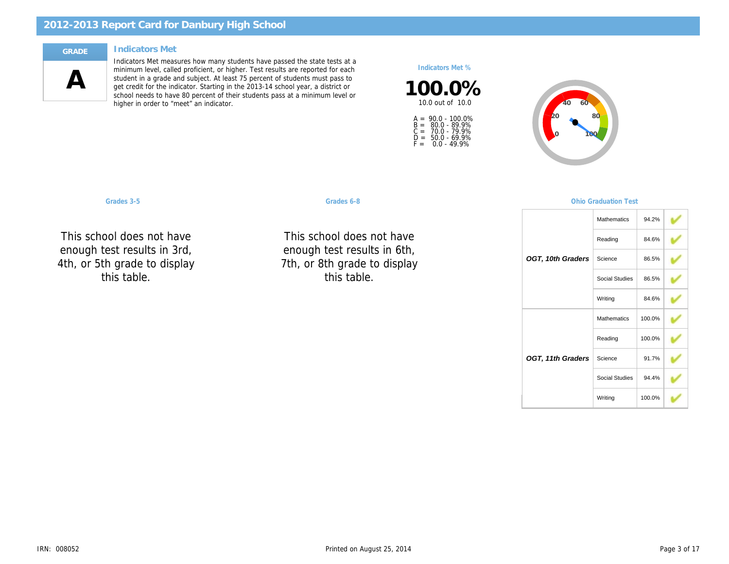#### Indicators Met

 $\boldsymbol{\mathsf{A}}$ 

Indicators Met measures how many students have passed the state tests at a minimum level, called proficient, or higher. Test results are reported for each student in a grade and subject. At least 75 percent of students must pass to get credit for the indicator. Starting in the 2013-14 school year, a district or school needs to have 80 percent of their students pass at a minimum level or higher in order to "meet" an indicator.

Indicators Met %

100.0% 10.0 out of 10.0

A = 90.0 - 100.0% B =<br>C =<br>D =<br>F = 80.0 - 89.9% 70.0 - 79.9% 50.0 - 69.9% 0.0 - 49.9%

Grades 3-5 Graduation Communication Communication Communication Communication Test of Communication Test of Co

This school do showg. luul ( toot ro $\epsilon$ Reading 4th, or 5th grade to display This school does not have d+ enough test results in 3rd, this table.

This school do 9.10ag וטטו י toot ro $\epsilon$  $\ddotsc$ 7th, or 8th grade to display NC NC This school does not have  $H<sub>c</sub>$  in enough test results in 6th, this table.

OGT, 10th 0

OGT, 11th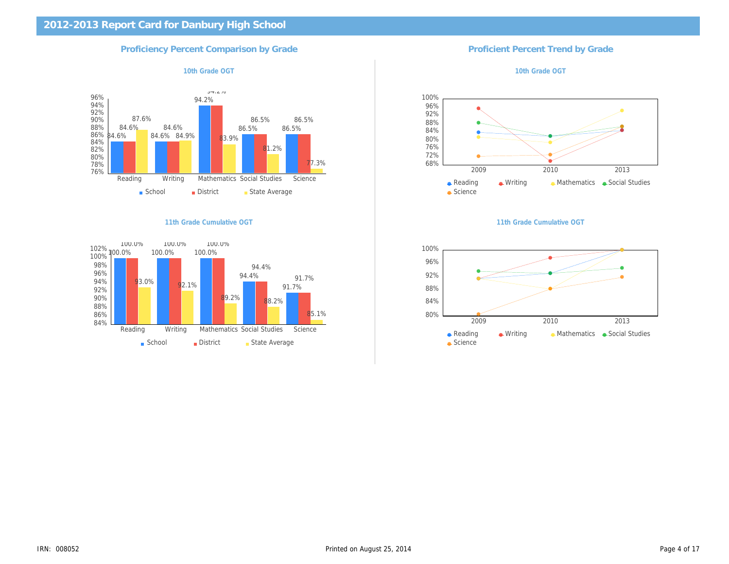## Proficiency Percent Comparison by Grade **Proficient Percent Trend By Grade** Proficient Percent Trend

10th Grade OGT 10th Grade OGT 2012 10th Grade OG

11th Grade Cumulative OGT 11th Grade Cumulative OGT 11th Grade Cumulative OGT 11th Grade Cumulative OGT 11th Grade Cumulative OGT 11th Grade Cumulative OGT 11th Grade Cumulative OGT 11th Grade Cumulative OGT 11th Grade Cum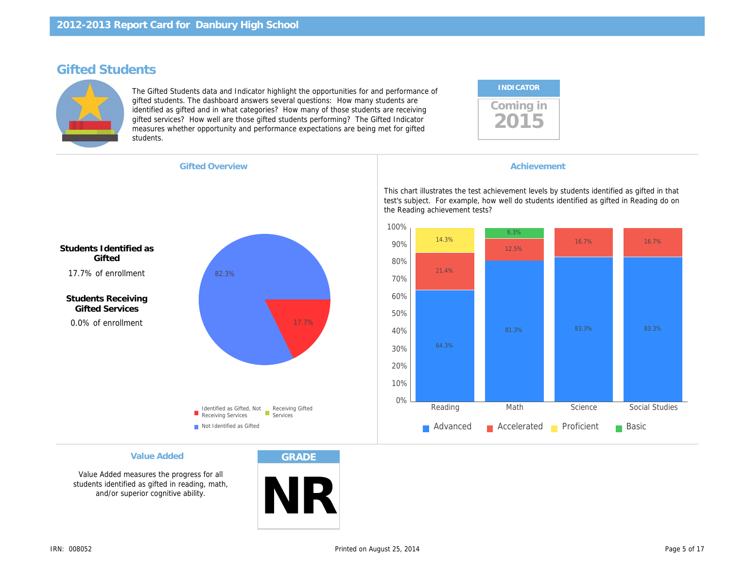# Gifted Students

The Gifted Students data and Indicator highlight the opportunities for and performance of gifted students. The dashboard answers several questions: How many students are identified as gifted and in what categories? How many of those students are receiving gifted services? How well are those gifted students performing? The Gifted Indicator measures whether opportunity and performance expectations are being met for gifted students.

| <b>INDICATOR</b> |  |
|------------------|--|
| Coming in        |  |

| <b>Gifted Overview</b> |  |
|------------------------|--|
|                        |  |

**Achievement** 

This chart illustrates the test achievement levels by s test's subject. For example, how well do students identified the Reading achievement tests?

Students Identified as **Gifted** 17.7% of enrollment

Students Receiving Gifted Services 0.0% of enrollment

Value Added

Value Added measures the progress for all students identified as gifted in reading, math, and/or superior cognitive ability.

GRADE

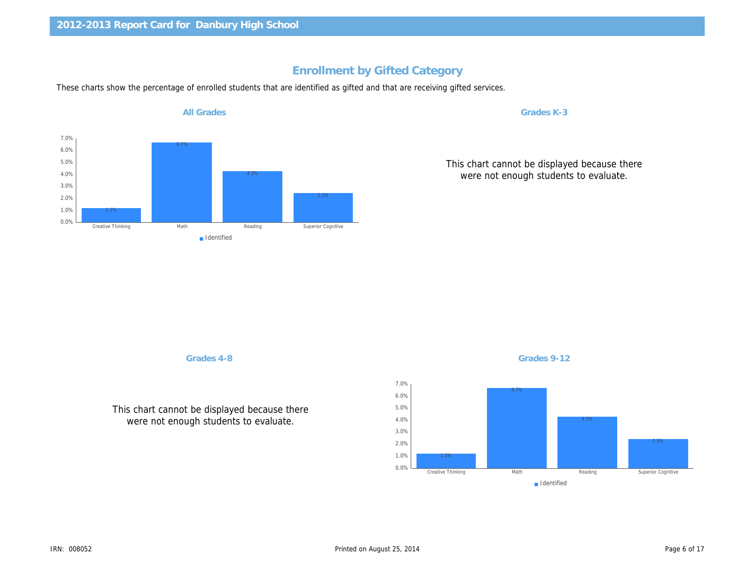# Enrollment by Gifted Category

These charts show the percentage of enrolled students that are identified as gifted and that are receiving gifted services.

All Grades

Grades K-3

This chart cannot be displa were not enough studer

Grades 4-8

This chart cannot be displayed because there were not enough students to evaluate.

IRN: 008052 Printed on August 25, 2014

Grades 9-12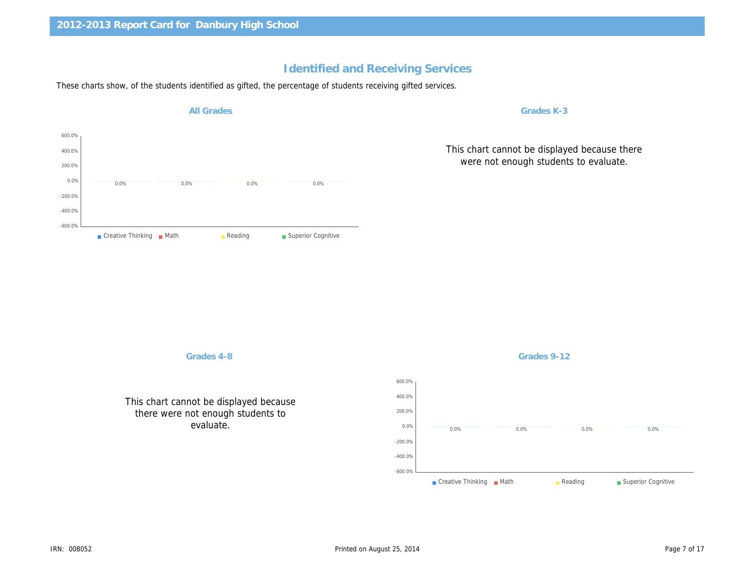# Identified and Receiving Services

These charts show, of the students identified as gifted, the percentage of students receiving gifted services.

All Grades

Grades K-3

This chart cannot be displa were not enough studer

Grades 4-8

This chart cannot be displayed because there were not enough students to evaluate.

IRN: 008052 Printed on August 25, 2014

Grades 9-12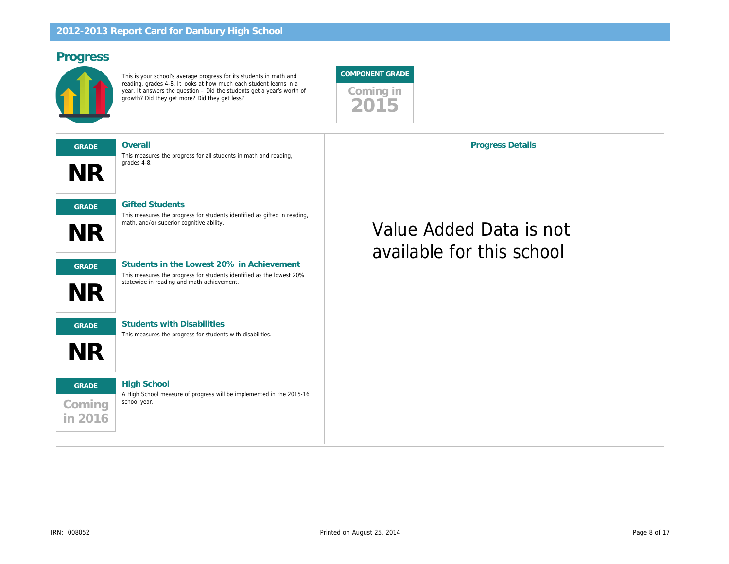# Progress

This is your school's average progress for its students in math and reading, grades 4-8. It looks at how much each student learns in a year. It answers the question – Did the students get a year's worth of growth? Did they get more? Did they get less?



NR GRADE Overall GRADE Gifted Students This measures the progress for students identified as gifted in reading,

This measures the progress for all students in math and reading, grades 4-8.



GRADE Students in the Lowest 20% in Achievement This measures the progress for students identified as the lowest 20% statewide in reading and math achievement.



GRADE Students with Disabilities

math, and/or superior cognitive ability.

This measures the progress for students with disabilities.

# Coming in 2016 GRADE High School

A High School measure of progress will be implemented in the 2015-16 school year.

Progress Details

# Value Added Data is no available for this school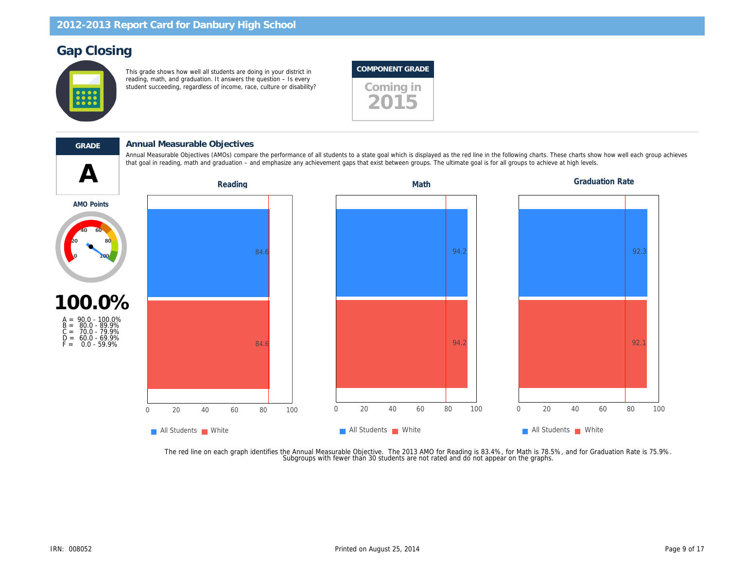# Gap Closing

This grade shows how well all students are doing in your district in reading, math, and graduation. It answers the question – Is every student succeeding, regardless of income, race, culture or disability? Coming in





#### GRADE Annual Measurable Objectives

that goal in reading, math and graduation – and emphasize any achievement gaps that exist between groups. The ultimate goal is for all groups to achieve at high levels. The ultimate goal is for all groups to achieve at hig Annual Measurable Objectives (AMOs) compare the performance of all students to a state goal which is displayed as the red line in the following charts. Thes

AMO Points



 $F = 0.0 - 59.9\%$ 

The red line on each graph identifies the Annual Measurable Objective. The 2013 AMO for Reading is 83.4%, for Math is 78.5%,<br>.Subgroups with fewer than 30 students are not rated and do not appear on the graphs.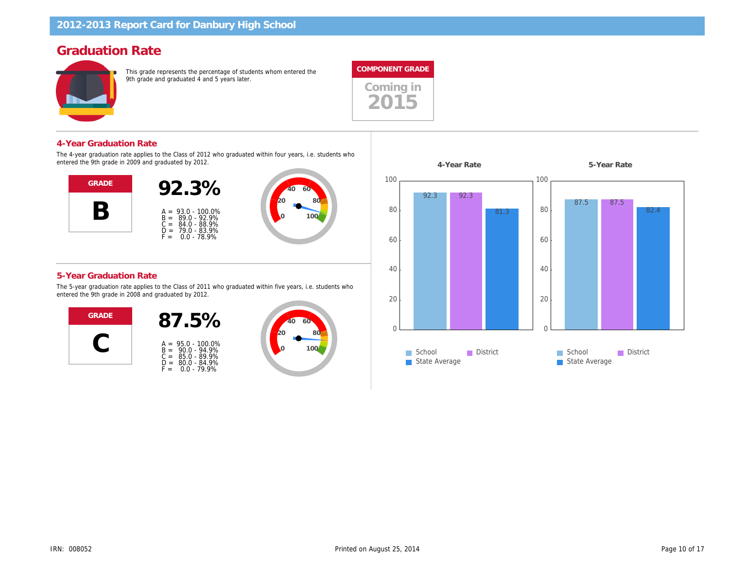# Graduation Rate

This grade represents the percentage of students whom entered the 9th grade and graduated 4 and 5 years later.



2015



The 4-year graduation rate applies to the Class of 2012 who graduated within four years, i.e. students who entered the 9th grade in 2009 and graduated by 2012.



#### 5-Year Graduation Rate

The 5-year graduation rate applies to the Class of 2011 who graduated within five years, i.e. students who entered the 9th grade in 2008 and graduated by 2012.



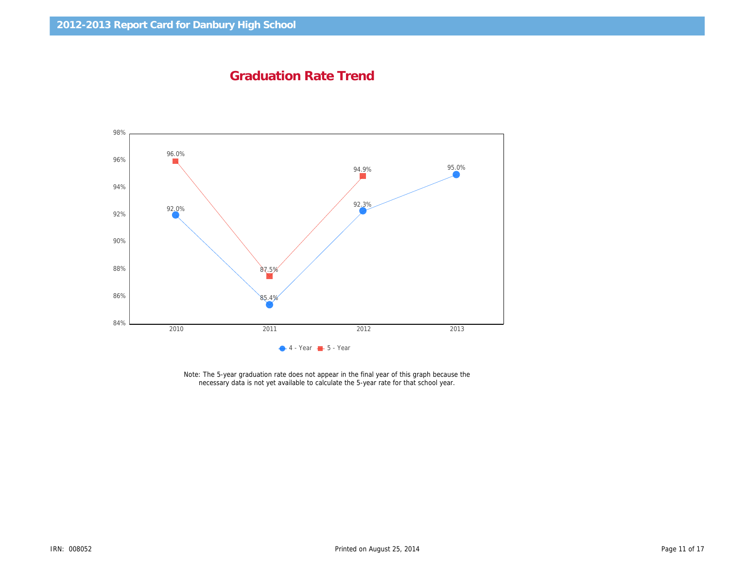Graduation Rate Trend

Note: The 5-year graduation rate does not appear in the final year of this graph because the necessary data is not yet available to calculate the 5-year rate for that school year.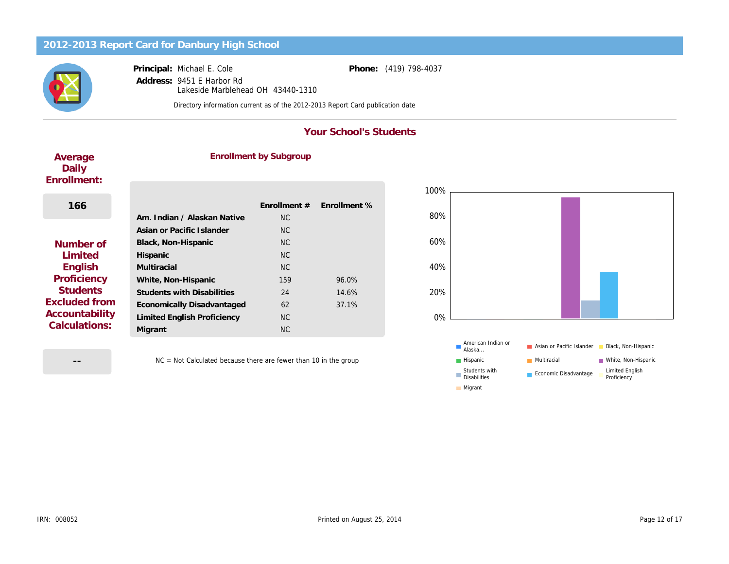Principal: Address: Michael E. Cole

9451 E Harbor Rd Lakeside Marblehead OH 43440-1310 Phone: (419) 798-4037

Directory information current as of the 2012-2013 Report Card publication date

#### Your School's Students

| Average<br>Daily<br>Enrollment:                         | <b>Enrollment by Subgroup</b>      |                |              |  |
|---------------------------------------------------------|------------------------------------|----------------|--------------|--|
|                                                         |                                    |                |              |  |
| 166                                                     |                                    | Enrollment #   | Enrollment % |  |
|                                                         | Am. Indian / Alaskan Native        | N <sub>C</sub> |              |  |
|                                                         | Asian or Pacific Islander          | NC.            |              |  |
| Number of                                               | Black, Non-Hispanic                | NC.            |              |  |
| Limited                                                 | Hispanic                           | N <sub>C</sub> |              |  |
| English                                                 | Multiracial                        | NC.            |              |  |
| Proficiency                                             | White, Non-Hispanic                | 159            | 96.0%        |  |
| <b>Students</b>                                         | <b>Students with Disabilities</b>  | 24             | 14.6%        |  |
| Excluded from<br>Accountability<br><b>Calculations:</b> | Economically Disadvantaged         | 62             | 37.1%        |  |
|                                                         | <b>Limited English Proficiency</b> | NC.            |              |  |
|                                                         | Migrant                            | <b>NC</b>      |              |  |
|                                                         |                                    |                |              |  |

--

NC = Not Calculated because there are fewer than 10 in the group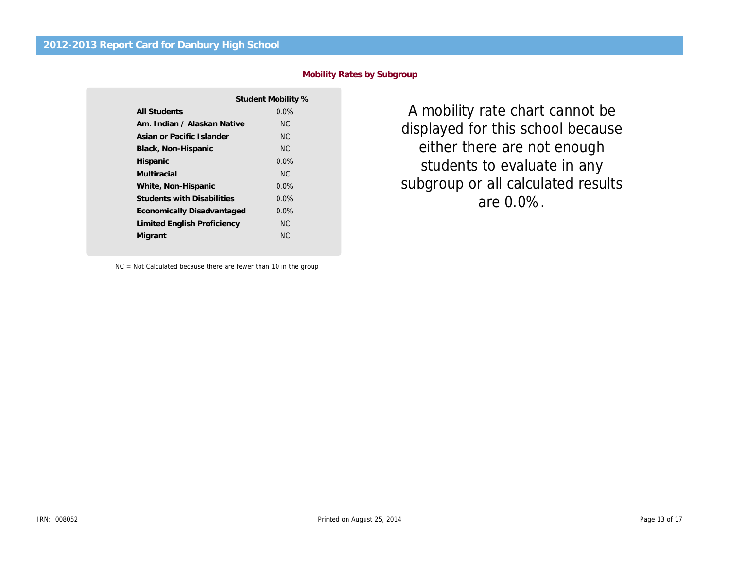|                                   | Student Mobility % |
|-----------------------------------|--------------------|
| All Students                      | 0.0%               |
| Am. Indian / Alaskan Native       | NC.                |
| Asian or Pacific Islander         | NC.                |
| Black, Non-Hispanic               | NC.                |
| Hispanic                          | 0.0%               |
| Multiracial                       | NC.                |
| White, Non-Hispanic               | 0.0%               |
| <b>Students with Disabilities</b> | $0.0\%$            |
| Economically Disadvantaged        | $0.0\%$            |
| Limited English Proficiency       | <b>NC</b>          |
| Migrant                           | ΝC                 |
|                                   |                    |

Mobility Rates by Subgroup

A mobility rate chart ca displayed for this school either there are not en students to evaluate i subgroup or all calculate are 0.0%.

NC = Not Calculated because there are fewer than 10 in the group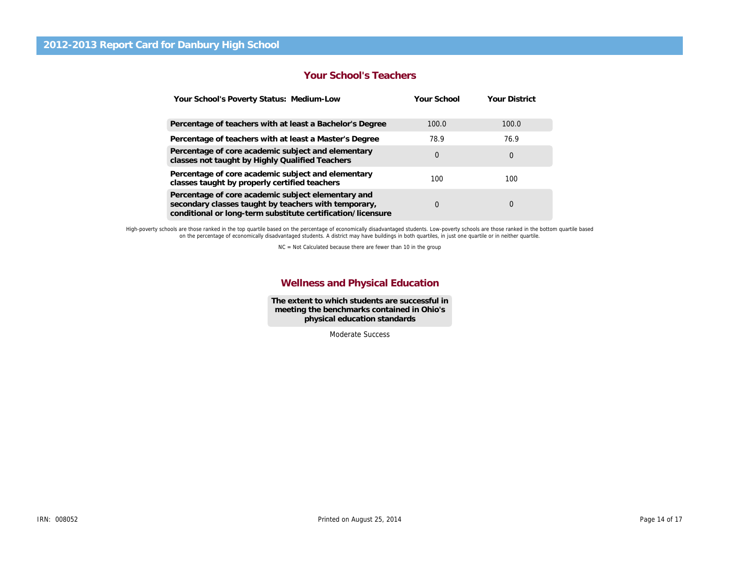#### Your School's Teachers

| Your School's Poverty Status: Medium-Low                                                                                                                                  | Your School | <b>Your District</b> |
|---------------------------------------------------------------------------------------------------------------------------------------------------------------------------|-------------|----------------------|
| Percentage of teachers with at least a Bachelor's Degree                                                                                                                  | 100.0       | 100.0                |
| Percentage of teachers with at least a Master's Degree                                                                                                                    | 78.9        | 76.9                 |
| Percentage of core academic subject and elementary<br>classes not taught by Highly Qualified Teachers                                                                     | 0           | 0                    |
| Percentage of core academic subject and elementary<br>classes taught by properly certified teachers                                                                       | 100         | 100                  |
| Percentage of core academic subject elementary and<br>secondary classes taught by teachers with temporary,<br>conditional or long-term substitute certification/licensure | 0           | 0                    |

High-poverty schools are those ranked in the top quartile based on the percentage of economically disadvantaged students. Low-poverty schools are those ranked in the bottom qu<br>on the percentage of economically disadvantage

NC = Not Calculated because there are fewer than 10 in the group

#### Wellness and Physical Education

The extent to which students are successful in meeting the benchmarks contained in Ohio's physical education standards

Moderate Success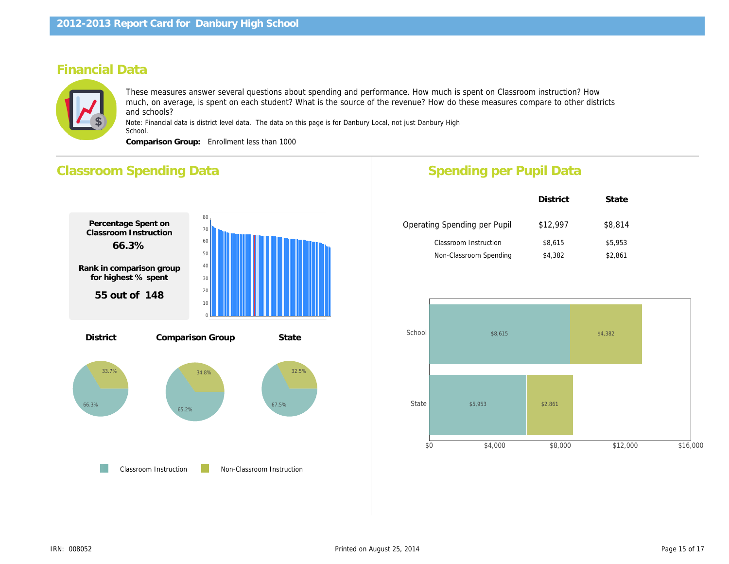# Financial Data

These measures answer several questions about spending and performance. How much is spent on Classroom instru much, on average, is spent on each student? What is the source of the revenue? How do these measures compare to and schools?

Note: Financial data is district level data. The data on this page is for Danbury Local, not just Danbury High School.

Comparison Group: Enrollment less than 1000

# Classroom Spending Data Percentage Spent on Classroom Instruction 66.3% Rank in comparison group for highest % spent 55 out of 148 Percentage Spent for Non-Classroom Instruction 33.7% Rank in comparison group for highest % spent 94 out of 148 District Comparison Group State Operating Spending per Pupil District \$12,99 \$8,615 \$4,382 Classroom Instruction Non-Classroom Spending Spending per Pupil Data

Classroom Instruction Non-Classroom Instruction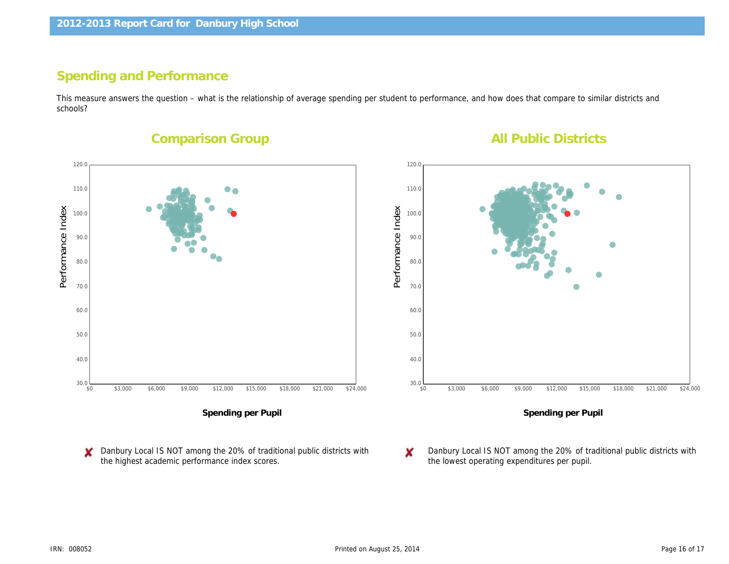# Spending and Performance

This measure answers the question – what is the relationship of average spending per student to performance, and how does that compa schools?

Comparison Group

**All Public Districts** 

Performance Index Performance Index

Spending per Pupil

Danbury Local IS NOT among the 20% of traditional public districts with the highest academic performance index scores.

Spending p

Danbury Local IS NOT among the 2 the lowest operating expenditures pe